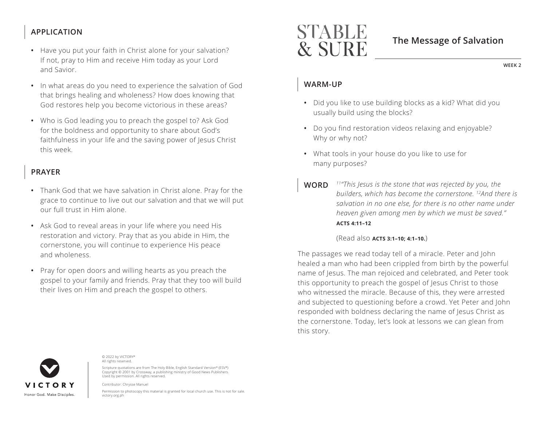# **APPLICATION**

- Have you put your faith in Christ alone for your salvation? If not, pray to Him and receive Him today as your Lord and Savior.
- In what areas do you need to experience the salvation of God that brings healing and wholeness? How does knowing that God restores help you become victorious in these areas?
- Who is God leading you to preach the gospel to? Ask God for the boldness and opportunity to share about God's faithfulness in your life and the saving power of Jesus Christ this week.

# **PRAYER**

- Thank God that we have salvation in Christ alone. Pray for the grace to continue to live out our salvation and that we will put our full trust in Him alone.
- Ask God to reveal areas in your life where you need His restoration and victory. Pray that as you abide in Him, the cornerstone, you will continue to experience His peace and wholeness.
- Pray for open doors and willing hearts as you preach the gospel to your family and friends. Pray that they too will build their lives on Him and preach the gospel to others.

# STABLE **& SURE**

# **The Message of Salvation**

**WEEK 2**

### **WARM-UP**

- Did you like to use building blocks as a kid? What did you usually build using the blocks?
- Do you find restoration videos relaxing and enjoyable? Why or why not?
- What tools in your house do you like to use for many purposes?
- **WORD** *11"This Jesus is the stone that was rejected by you, the builders, which has become the cornerstone. 12And there is salvation in no one else, for there is no other name under heaven given among men by which we must be saved." ^***ACTS 4:11–12**

#### (Read also **ACTS 3:1–10: 4:1–10.**)

The passages we read today tell of a miracle. Peter and John healed a man who had been crippled from birth by the powerful name of Jesus. The man rejoiced and celebrated, and Peter took this opportunity to preach the gospel of Jesus Christ to those who witnessed the miracle. Because of this, they were arrested and subjected to questioning before a crowd. Yet Peter and John responded with boldness declaring the name of Jesus Christ as the cornerstone. Today, let's look at lessons we can glean from this story.



© 2022 by VICTORY® All rights reserved.

Scripture quotations are from The Holy Bible, English Standard Version® (ESV®) Copyright © 2001 by Crossway, a publishing ministry of Good News Publishers. Used by permission. All rights reserved.

Contributor: Chrysse Manuel

Permission to photocopy this material is granted for local church use. This is not for sale. victory.org.ph